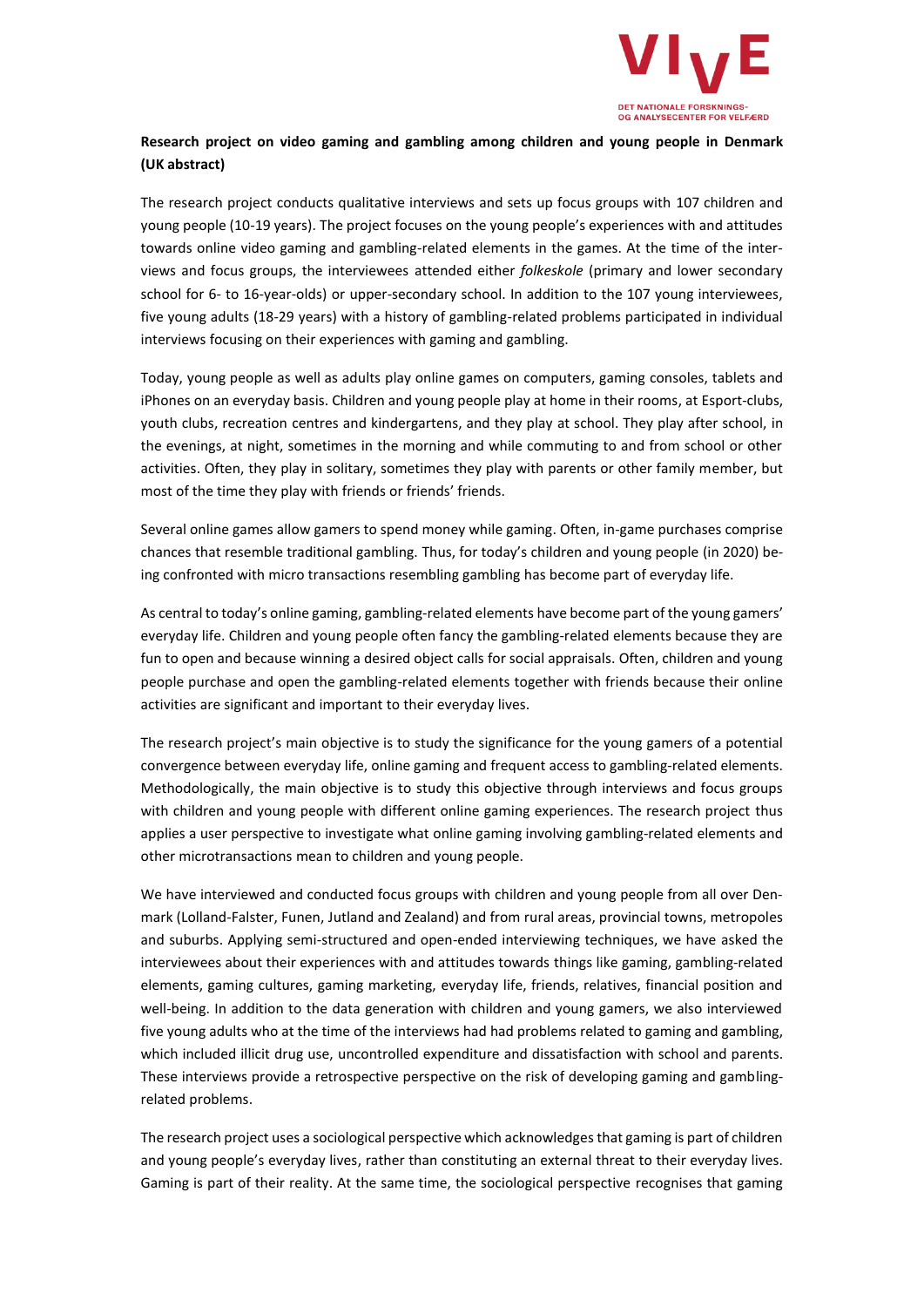

# **Research project on video gaming and gambling among children and young people in Denmark (UK abstract)**

The research project conducts qualitative interviews and sets up focus groups with 107 children and young people (10-19 years). The project focuses on the young people's experiences with and attitudes towards online video gaming and gambling-related elements in the games. At the time of the interviews and focus groups, the interviewees attended either *folkeskole* (primary and lower secondary school for 6- to 16-year-olds) or upper-secondary school. In addition to the 107 young interviewees, five young adults (18-29 years) with a history of gambling-related problems participated in individual interviews focusing on their experiences with gaming and gambling.

Today, young people as well as adults play online games on computers, gaming consoles, tablets and iPhones on an everyday basis. Children and young people play at home in their rooms, at Esport-clubs, youth clubs, recreation centres and kindergartens, and they play at school. They play after school, in the evenings, at night, sometimes in the morning and while commuting to and from school or other activities. Often, they play in solitary, sometimes they play with parents or other family member, but most of the time they play with friends or friends' friends.

Several online games allow gamers to spend money while gaming. Often, in-game purchases comprise chances that resemble traditional gambling. Thus, for today's children and young people (in 2020) being confronted with micro transactions resembling gambling has become part of everyday life.

As central to today's online gaming, gambling-related elements have become part of the young gamers' everyday life. Children and young people often fancy the gambling-related elements because they are fun to open and because winning a desired object calls for social appraisals. Often, children and young people purchase and open the gambling-related elements together with friends because their online activities are significant and important to their everyday lives.

The research project's main objective is to study the significance for the young gamers of a potential convergence between everyday life, online gaming and frequent access to gambling-related elements. Methodologically, the main objective is to study this objective through interviews and focus groups with children and young people with different online gaming experiences. The research project thus applies a user perspective to investigate what online gaming involving gambling-related elements and other microtransactions mean to children and young people.

We have interviewed and conducted focus groups with children and young people from all over Denmark (Lolland-Falster, Funen, Jutland and Zealand) and from rural areas, provincial towns, metropoles and suburbs. Applying semi-structured and open-ended interviewing techniques, we have asked the interviewees about their experiences with and attitudes towards things like gaming, gambling-related elements, gaming cultures, gaming marketing, everyday life, friends, relatives, financial position and well-being. In addition to the data generation with children and young gamers, we also interviewed five young adults who at the time of the interviews had had problems related to gaming and gambling, which included illicit drug use, uncontrolled expenditure and dissatisfaction with school and parents. These interviews provide a retrospective perspective on the risk of developing gaming and gamblingrelated problems.

The research project uses a sociological perspective which acknowledges that gaming is part of children and young people's everyday lives, rather than constituting an external threat to their everyday lives. Gaming is part of their reality. At the same time, the sociological perspective recognises that gaming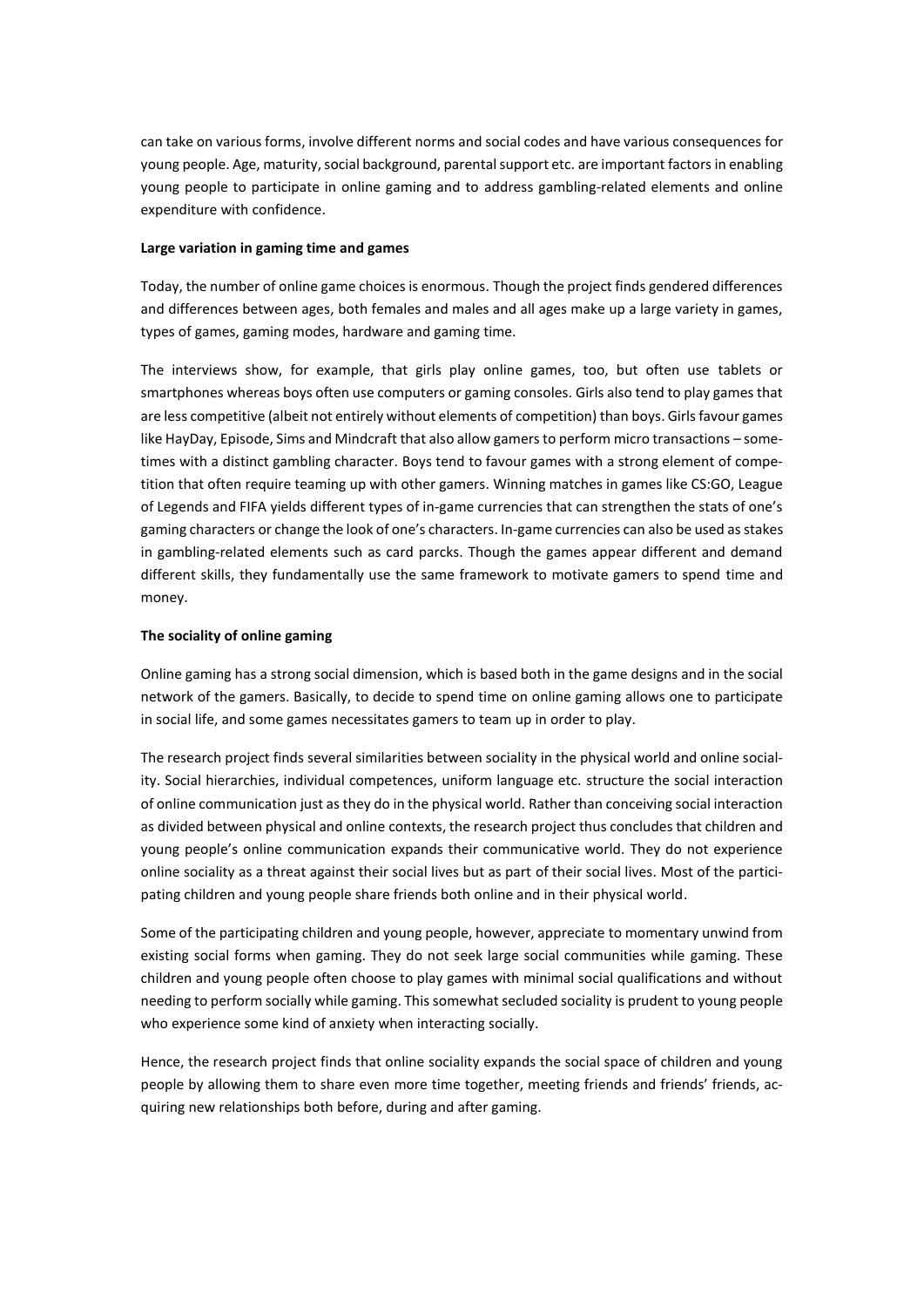can take on various forms, involve different norms and social codes and have various consequences for young people. Age, maturity, social background, parental support etc. are important factors in enabling young people to participate in online gaming and to address gambling-related elements and online expenditure with confidence.

# **Large variation in gaming time and games**

Today, the number of online game choices is enormous. Though the project finds gendered differences and differences between ages, both females and males and all ages make up a large variety in games, types of games, gaming modes, hardware and gaming time.

The interviews show, for example, that girls play online games, too, but often use tablets or smartphones whereas boys often use computers or gaming consoles. Girls also tend to play games that are less competitive (albeit not entirely without elements of competition) than boys. Girls favour games like HayDay, Episode, Sims and Mindcraft that also allow gamers to perform micro transactions – sometimes with a distinct gambling character. Boys tend to favour games with a strong element of competition that often require teaming up with other gamers. Winning matches in games like CS:GO, League of Legends and FIFA yields different types of in-game currencies that can strengthen the stats of one's gaming characters or change the look of one's characters. In-game currencies can also be used as stakes in gambling-related elements such as card parcks. Though the games appear different and demand different skills, they fundamentally use the same framework to motivate gamers to spend time and money.

# **The sociality of online gaming**

Online gaming has a strong social dimension, which is based both in the game designs and in the social network of the gamers. Basically, to decide to spend time on online gaming allows one to participate in social life, and some games necessitates gamers to team up in order to play.

The research project finds several similarities between sociality in the physical world and online sociality. Social hierarchies, individual competences, uniform language etc. structure the social interaction of online communication just as they do in the physical world. Rather than conceiving social interaction as divided between physical and online contexts, the research project thus concludes that children and young people's online communication expands their communicative world. They do not experience online sociality as a threat against their social lives but as part of their social lives. Most of the participating children and young people share friends both online and in their physical world.

Some of the participating children and young people, however, appreciate to momentary unwind from existing social forms when gaming. They do not seek large social communities while gaming. These children and young people often choose to play games with minimal social qualifications and without needing to perform socially while gaming. This somewhat secluded sociality is prudent to young people who experience some kind of anxiety when interacting socially.

Hence, the research project finds that online sociality expands the social space of children and young people by allowing them to share even more time together, meeting friends and friends' friends, acquiring new relationships both before, during and after gaming.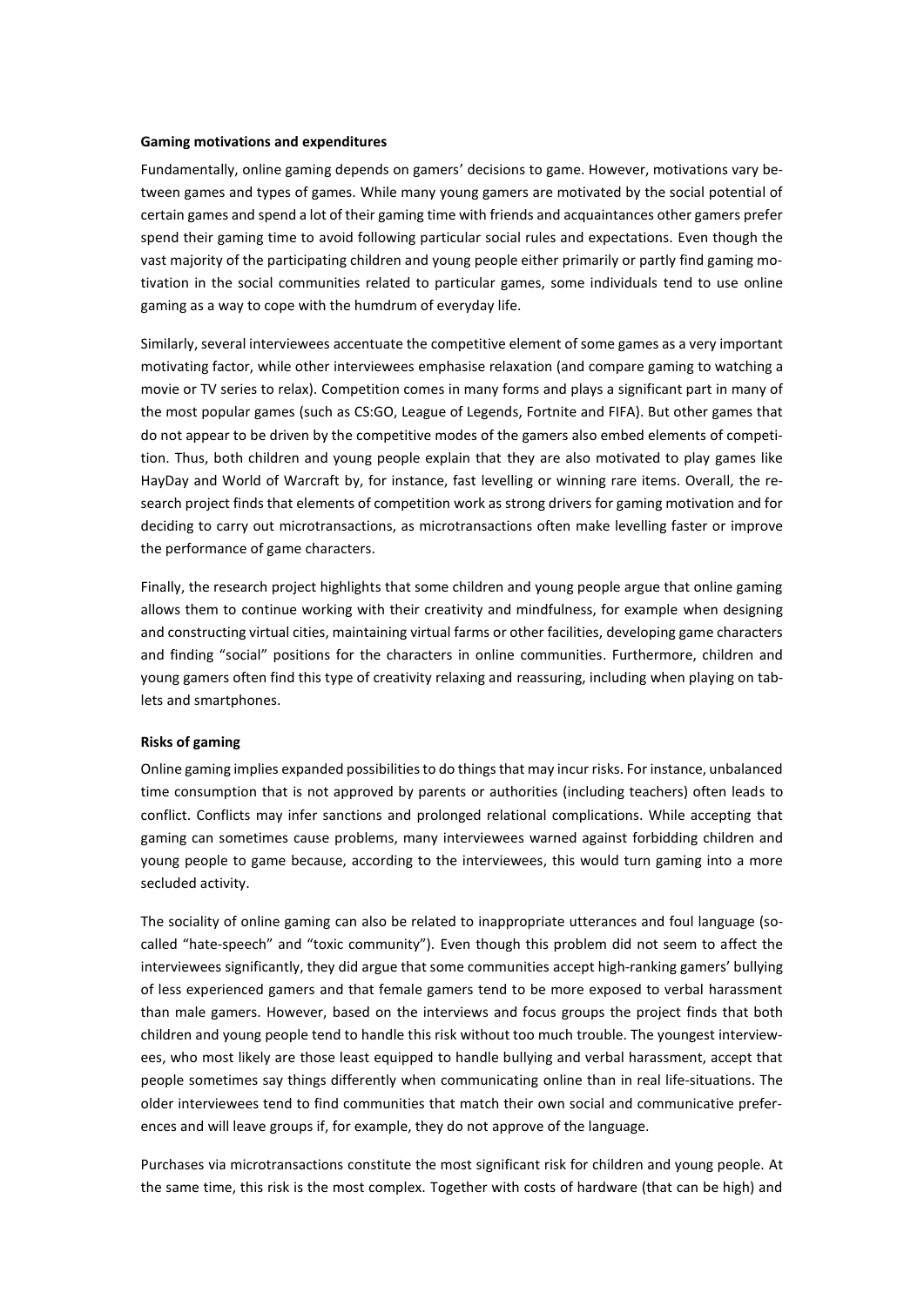#### **Gaming motivations and expenditures**

Fundamentally, online gaming depends on gamers' decisions to game. However, motivations vary between games and types of games. While many young gamers are motivated by the social potential of certain games and spend a lot of their gaming time with friends and acquaintances other gamers prefer spend their gaming time to avoid following particular social rules and expectations. Even though the vast majority of the participating children and young people either primarily or partly find gaming motivation in the social communities related to particular games, some individuals tend to use online gaming as a way to cope with the humdrum of everyday life.

Similarly, several interviewees accentuate the competitive element of some games as a very important motivating factor, while other interviewees emphasise relaxation (and compare gaming to watching a movie or TV series to relax). Competition comes in many forms and plays a significant part in many of the most popular games (such as CS:GO, League of Legends, Fortnite and FIFA). But other games that do not appear to be driven by the competitive modes of the gamers also embed elements of competition. Thus, both children and young people explain that they are also motivated to play games like HayDay and World of Warcraft by, for instance, fast levelling or winning rare items. Overall, the research project finds that elements of competition work as strong drivers for gaming motivation and for deciding to carry out microtransactions, as microtransactions often make levelling faster or improve the performance of game characters.

Finally, the research project highlights that some children and young people argue that online gaming allows them to continue working with their creativity and mindfulness, for example when designing and constructing virtual cities, maintaining virtual farms or other facilities, developing game characters and finding "social" positions for the characters in online communities. Furthermore, children and young gamers often find this type of creativity relaxing and reassuring, including when playing on tablets and smartphones.

## **Risks of gaming**

Online gaming implies expanded possibilities to do things that may incur risks. For instance, unbalanced time consumption that is not approved by parents or authorities (including teachers) often leads to conflict. Conflicts may infer sanctions and prolonged relational complications. While accepting that gaming can sometimes cause problems, many interviewees warned against forbidding children and young people to game because, according to the interviewees, this would turn gaming into a more secluded activity.

The sociality of online gaming can also be related to inappropriate utterances and foul language (socalled "hate-speech" and "toxic community"). Even though this problem did not seem to affect the interviewees significantly, they did argue that some communities accept high-ranking gamers' bullying of less experienced gamers and that female gamers tend to be more exposed to verbal harassment than male gamers. However, based on the interviews and focus groups the project finds that both children and young people tend to handle this risk without too much trouble. The youngest interviewees, who most likely are those least equipped to handle bullying and verbal harassment, accept that people sometimes say things differently when communicating online than in real life-situations. The older interviewees tend to find communities that match their own social and communicative preferences and will leave groups if, for example, they do not approve of the language.

Purchases via microtransactions constitute the most significant risk for children and young people. At the same time, this risk is the most complex. Together with costs of hardware (that can be high) and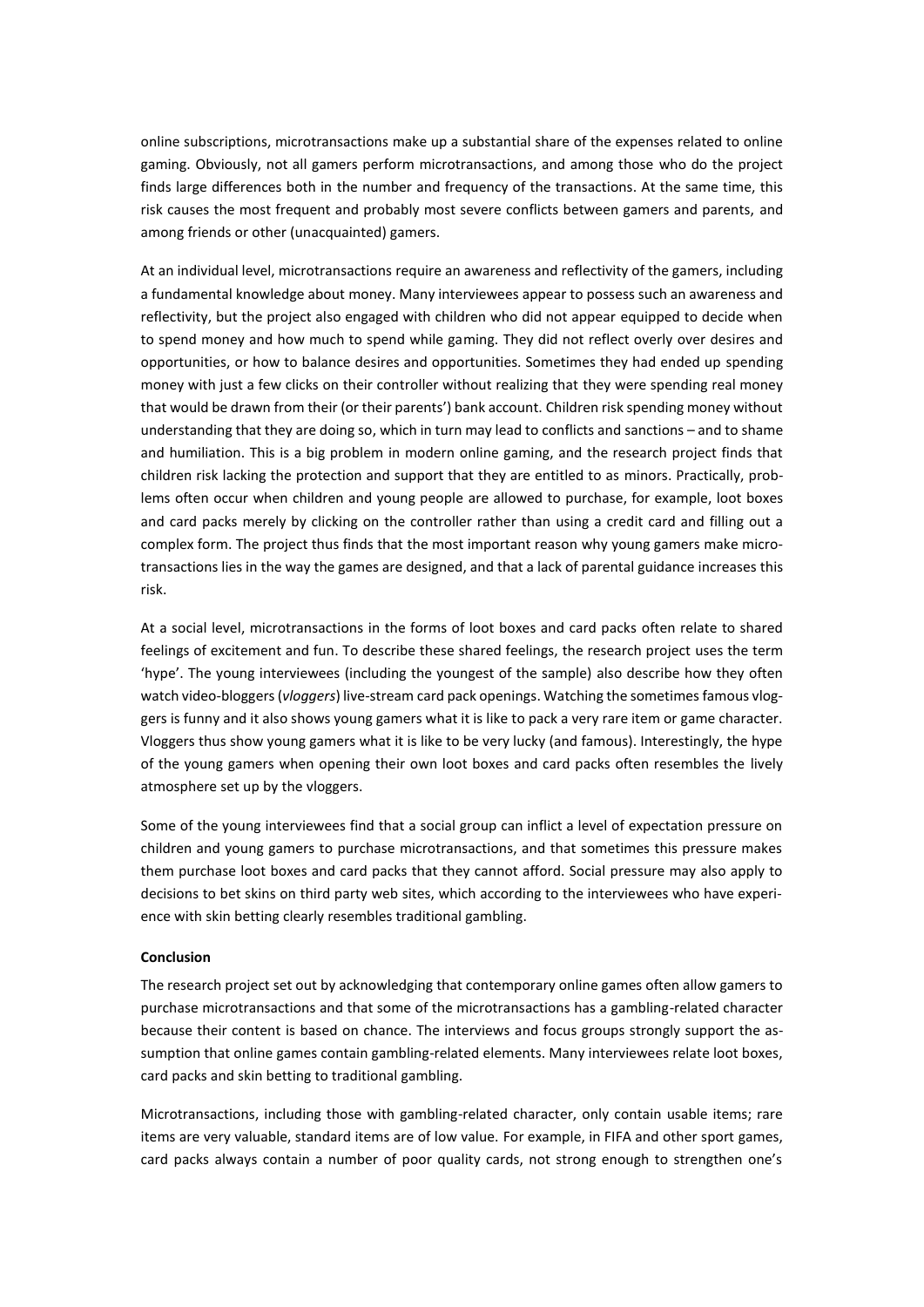online subscriptions, microtransactions make up a substantial share of the expenses related to online gaming. Obviously, not all gamers perform microtransactions, and among those who do the project finds large differences both in the number and frequency of the transactions. At the same time, this risk causes the most frequent and probably most severe conflicts between gamers and parents, and among friends or other (unacquainted) gamers.

At an individual level, microtransactions require an awareness and reflectivity of the gamers, including a fundamental knowledge about money. Many interviewees appear to possess such an awareness and reflectivity, but the project also engaged with children who did not appear equipped to decide when to spend money and how much to spend while gaming. They did not reflect overly over desires and opportunities, or how to balance desires and opportunities. Sometimes they had ended up spending money with just a few clicks on their controller without realizing that they were spending real money that would be drawn from their (or their parents') bank account. Children risk spending money without understanding that they are doing so, which in turn may lead to conflicts and sanctions – and to shame and humiliation. This is a big problem in modern online gaming, and the research project finds that children risk lacking the protection and support that they are entitled to as minors. Practically, problems often occur when children and young people are allowed to purchase, for example, loot boxes and card packs merely by clicking on the controller rather than using a credit card and filling out a complex form. The project thus finds that the most important reason why young gamers make microtransactions lies in the way the games are designed, and that a lack of parental guidance increases this risk.

At a social level, microtransactions in the forms of loot boxes and card packs often relate to shared feelings of excitement and fun. To describe these shared feelings, the research project uses the term 'hype'. The young interviewees (including the youngest of the sample) also describe how they often watch video-bloggers (*vloggers*) live-stream card pack openings. Watching the sometimes famous vloggers is funny and it also shows young gamers what it is like to pack a very rare item or game character. Vloggers thus show young gamers what it is like to be very lucky (and famous). Interestingly, the hype of the young gamers when opening their own loot boxes and card packs often resembles the lively atmosphere set up by the vloggers.

Some of the young interviewees find that a social group can inflict a level of expectation pressure on children and young gamers to purchase microtransactions, and that sometimes this pressure makes them purchase loot boxes and card packs that they cannot afford. Social pressure may also apply to decisions to bet skins on third party web sites, which according to the interviewees who have experience with skin betting clearly resembles traditional gambling.

## **Conclusion**

The research project set out by acknowledging that contemporary online games often allow gamers to purchase microtransactions and that some of the microtransactions has a gambling-related character because their content is based on chance. The interviews and focus groups strongly support the assumption that online games contain gambling-related elements. Many interviewees relate loot boxes, card packs and skin betting to traditional gambling.

Microtransactions, including those with gambling-related character, only contain usable items; rare items are very valuable, standard items are of low value. For example, in FIFA and other sport games, card packs always contain a number of poor quality cards, not strong enough to strengthen one's